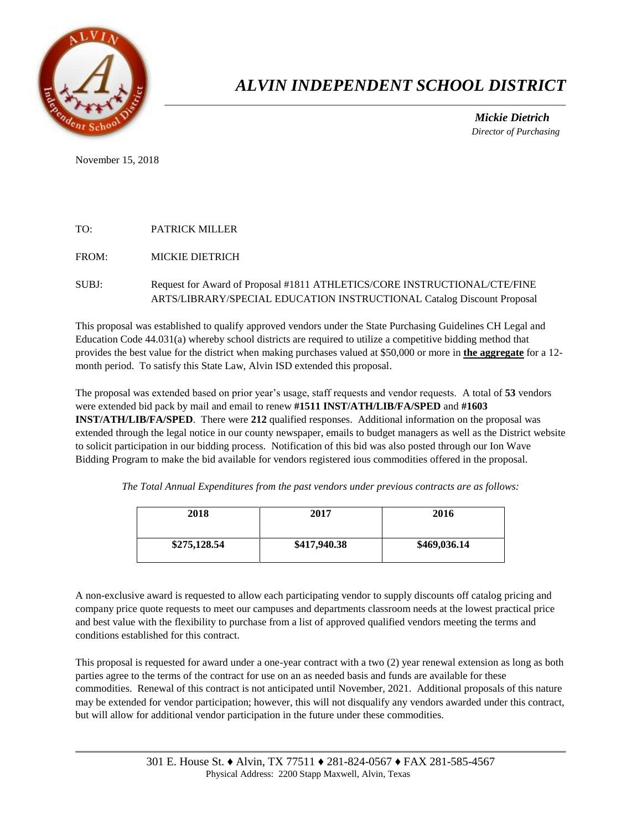

## *ALVIN INDEPENDENT SCHOOL DISTRICT*

 *Mickie Dietrich Director of Purchasing*

November 15, 2018

## TO: PATRICK MILLER

FROM: MICKIE DIETRICH

## SUBJ: Request for Award of Proposal #1811 ATHLETICS/CORE INSTRUCTIONAL/CTE/FINE ARTS/LIBRARY/SPECIAL EDUCATION INSTRUCTIONAL Catalog Discount Proposal

This proposal was established to qualify approved vendors under the State Purchasing Guidelines CH Legal and Education Code 44.031(a) whereby school districts are required to utilize a competitive bidding method that provides the best value for the district when making purchases valued at \$50,000 or more in **the aggregate** for a 12 month period. To satisfy this State Law, Alvin ISD extended this proposal.

The proposal was extended based on prior year's usage, staff requests and vendor requests. A total of **53** vendors were extended bid pack by mail and email to renew **#1511 INST/ATH/LIB/FA/SPED** and **#1603 INST/ATH/LIB/FA/SPED**. There were **212** qualified responses. Additional information on the proposal was extended through the legal notice in our county newspaper, emails to budget managers as well as the District website to solicit participation in our bidding process. Notification of this bid was also posted through our Ion Wave Bidding Program to make the bid available for vendors registered ious commodities offered in the proposal.

*The Total Annual Expenditures from the past vendors under previous contracts are as follows:* 

| 2018         | 2017         | 2016         |
|--------------|--------------|--------------|
| \$275,128.54 | \$417,940.38 | \$469,036.14 |

A non-exclusive award is requested to allow each participating vendor to supply discounts off catalog pricing and company price quote requests to meet our campuses and departments classroom needs at the lowest practical price and best value with the flexibility to purchase from a list of approved qualified vendors meeting the terms and conditions established for this contract.

This proposal is requested for award under a one-year contract with a two (2) year renewal extension as long as both parties agree to the terms of the contract for use on an as needed basis and funds are available for these commodities. Renewal of this contract is not anticipated until November, 2021. Additional proposals of this nature may be extended for vendor participation; however, this will not disqualify any vendors awarded under this contract, but will allow for additional vendor participation in the future under these commodities.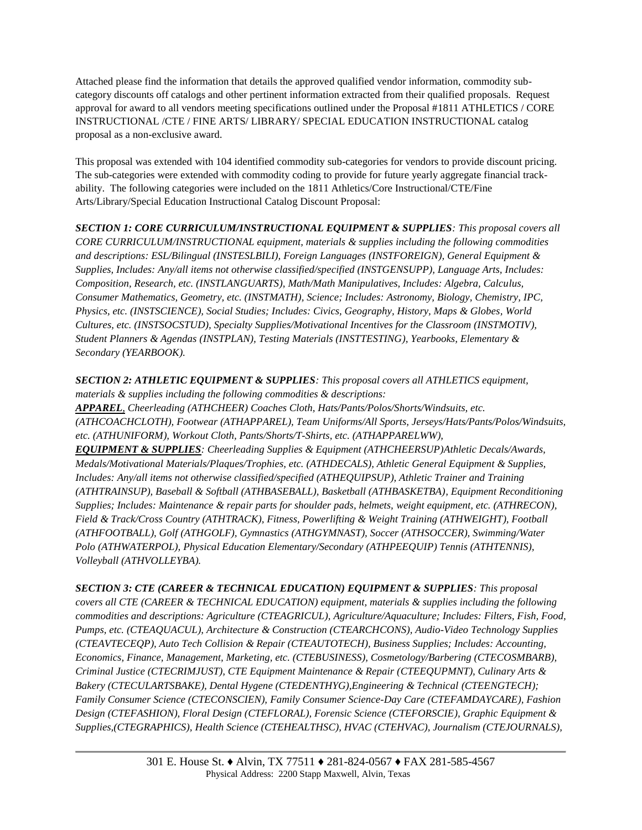Attached please find the information that details the approved qualified vendor information, commodity subcategory discounts off catalogs and other pertinent information extracted from their qualified proposals. Request approval for award to all vendors meeting specifications outlined under the Proposal #1811 ATHLETICS / CORE INSTRUCTIONAL /CTE / FINE ARTS/ LIBRARY/ SPECIAL EDUCATION INSTRUCTIONAL catalog proposal as a non-exclusive award.

This proposal was extended with 104 identified commodity sub-categories for vendors to provide discount pricing. The sub-categories were extended with commodity coding to provide for future yearly aggregate financial trackability. The following categories were included on the 1811 Athletics/Core Instructional/CTE/Fine Arts/Library/Special Education Instructional Catalog Discount Proposal:

*SECTION 1: CORE CURRICULUM/INSTRUCTIONAL EQUIPMENT & SUPPLIES: This proposal covers all CORE CURRICULUM/INSTRUCTIONAL equipment, materials & supplies including the following commodities and descriptions: ESL/Bilingual (INSTESLBILI), Foreign Languages (INSTFOREIGN), General Equipment & Supplies, Includes: Any/all items not otherwise classified/specified (INSTGENSUPP), Language Arts, Includes: Composition, Research, etc. (INSTLANGUARTS), Math/Math Manipulatives, Includes: Algebra, Calculus, Consumer Mathematics, Geometry, etc. (INSTMATH), Science; Includes: Astronomy, Biology, Chemistry, IPC, Physics, etc. (INSTSCIENCE), Social Studies; Includes: Civics, Geography, History, Maps & Globes, World Cultures, etc. (INSTSOCSTUD), Specialty Supplies/Motivational Incentives for the Classroom (INSTMOTIV), Student Planners & Agendas (INSTPLAN), Testing Materials (INSTTESTING), Yearbooks, Elementary & Secondary (YEARBOOK).* 

*SECTION 2: ATHLETIC EQUIPMENT & SUPPLIES: This proposal covers all ATHLETICS equipment, materials & supplies including the following commodities & descriptions: APPAREL, Cheerleading (ATHCHEER) Coaches Cloth, Hats/Pants/Polos/Shorts/Windsuits, etc. (ATHCOACHCLOTH), Footwear (ATHAPPAREL), Team Uniforms/All Sports, Jerseys/Hats/Pants/Polos/Windsuits, etc. (ATHUNIFORM), Workout Cloth, Pants/Shorts/T-Shirts, etc. (ATHAPPARELWW), EQUIPMENT & SUPPLIES: Cheerleading Supplies & Equipment (ATHCHEERSUP)Athletic Decals/Awards, Medals/Motivational Materials/Plaques/Trophies, etc. (ATHDECALS), Athletic General Equipment & Supplies, Includes: Any/all items not otherwise classified/specified (ATHEQUIPSUP), Athletic Trainer and Training (ATHTRAINSUP), Baseball & Softball (ATHBASEBALL), Basketball (ATHBASKETBA), Equipment Reconditioning Supplies; Includes: Maintenance & repair parts for shoulder pads, helmets, weight equipment, etc. (ATHRECON), Field & Track/Cross Country (ATHTRACK), Fitness, Powerlifting & Weight Training (ATHWEIGHT), Football (ATHFOOTBALL), Golf (ATHGOLF), Gymnastics (ATHGYMNAST), Soccer (ATHSOCCER), Swimming/Water Polo (ATHWATERPOL), Physical Education Elementary/Secondary (ATHPEEQUIP) Tennis (ATHTENNIS), Volleyball (ATHVOLLEYBA).* 

*SECTION 3: CTE (CAREER & TECHNICAL EDUCATION) EQUIPMENT & SUPPLIES: This proposal covers all CTE (CAREER & TECHNICAL EDUCATION) equipment, materials & supplies including the following commodities and descriptions: Agriculture (CTEAGRICUL), Agriculture/Aquaculture; Includes: Filters, Fish, Food, Pumps, etc. (CTEAQUACUL), Architecture & Construction (CTEARCHCONS), Audio-Video Technology Supplies (CTEAVTECEQP), Auto Tech Collision & Repair (CTEAUTOTECH), Business Supplies; Includes: Accounting, Economics, Finance, Management, Marketing, etc. (CTEBUSINESS), Cosmetology/Barbering (CTECOSMBARB), Criminal Justice (CTECRIMJUST), CTE Equipment Maintenance & Repair (CTEEQUPMNT), Culinary Arts & Bakery (CTECULARTSBAKE), Dental Hygene (CTEDENTHYG),Engineering & Technical (CTEENGTECH); Family Consumer Science (CTECONSCIEN), Family Consumer Science-Day Care (CTEFAMDAYCARE), Fashion Design (CTEFASHION), Floral Design (CTEFLORAL), Forensic Science (CTEFORSCIE), Graphic Equipment & Supplies,(CTEGRAPHICS), Health Science (CTEHEALTHSC), HVAC (CTEHVAC), Journalism (CTEJOURNALS),*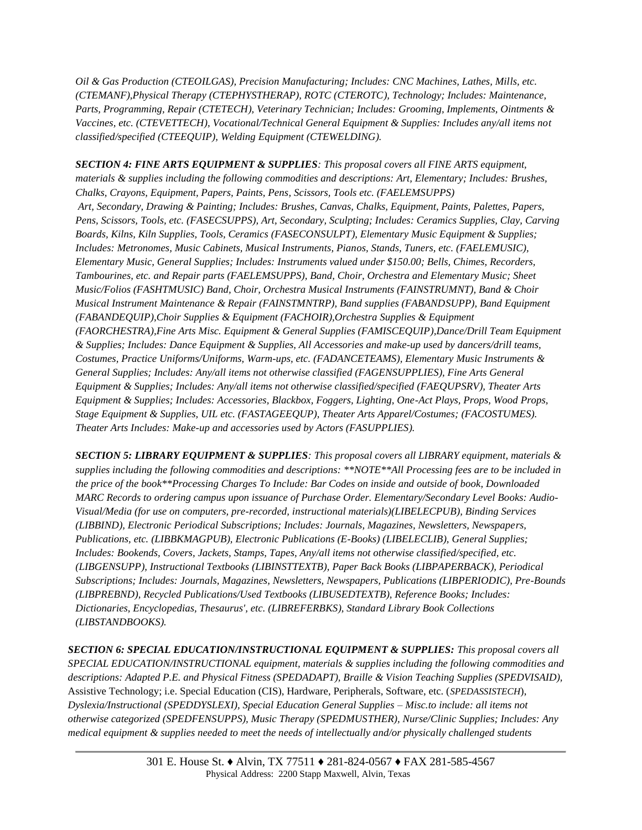*Oil & Gas Production (CTEOILGAS), Precision Manufacturing; Includes: CNC Machines, Lathes, Mills, etc. (CTEMANF),Physical Therapy (CTEPHYSTHERAP), ROTC (CTEROTC), Technology; Includes: Maintenance, Parts, Programming, Repair (CTETECH), Veterinary Technician; Includes: Grooming, Implements, Ointments & Vaccines, etc. (CTEVETTECH), Vocational/Technical General Equipment & Supplies: Includes any/all items not classified/specified (CTEEQUIP), Welding Equipment (CTEWELDING).* 

*SECTION 4: FINE ARTS EQUIPMENT & SUPPLIES: This proposal covers all FINE ARTS equipment, materials & supplies including the following commodities and descriptions: Art, Elementary; Includes: Brushes, Chalks, Crayons, Equipment, Papers, Paints, Pens, Scissors, Tools etc. (FAELEMSUPPS) Art, Secondary, Drawing & Painting; Includes: Brushes, Canvas, Chalks, Equipment, Paints, Palettes, Papers, Pens, Scissors, Tools, etc. (FASECSUPPS), Art, Secondary, Sculpting; Includes: Ceramics Supplies, Clay, Carving Boards, Kilns, Kiln Supplies, Tools, Ceramics (FASECONSULPT), Elementary Music Equipment & Supplies; Includes: Metronomes, Music Cabinets, Musical Instruments, Pianos, Stands, Tuners, etc. (FAELEMUSIC), Elementary Music, General Supplies; Includes: Instruments valued under \$150.00; Bells, Chimes, Recorders, Tambourines, etc. and Repair parts (FAELEMSUPPS), Band, Choir, Orchestra and Elementary Music; Sheet Music/Folios (FASHTMUSIC) Band, Choir, Orchestra Musical Instruments (FAINSTRUMNT), Band & Choir Musical Instrument Maintenance & Repair (FAINSTMNTRP), Band supplies (FABANDSUPP), Band Equipment (FABANDEQUIP),Choir Supplies & Equipment (FACHOIR),Orchestra Supplies & Equipment (FAORCHESTRA),Fine Arts Misc. Equipment & General Supplies (FAMISCEQUIP),Dance/Drill Team Equipment & Supplies; Includes: Dance Equipment & Supplies, All Accessories and make-up used by dancers/drill teams, Costumes, Practice Uniforms/Uniforms, Warm-ups, etc. (FADANCETEAMS), Elementary Music Instruments & General Supplies; Includes: Any/all items not otherwise classified (FAGENSUPPLIES), Fine Arts General Equipment & Supplies; Includes: Any/all items not otherwise classified/specified (FAEQUPSRV), Theater Arts Equipment & Supplies; Includes: Accessories, Blackbox, Foggers, Lighting, One-Act Plays, Props, Wood Props, Stage Equipment & Supplies, UIL etc. (FASTAGEEQUP), Theater Arts Apparel/Costumes; (FACOSTUMES). Theater Arts Includes: Make-up and accessories used by Actors (FASUPPLIES).*

*SECTION 5: LIBRARY EQUIPMENT & SUPPLIES: This proposal covers all LIBRARY equipment, materials & supplies including the following commodities and descriptions: \*\*NOTE\*\*All Processing fees are to be included in the price of the book\*\*Processing Charges To Include: Bar Codes on inside and outside of book, Downloaded MARC Records to ordering campus upon issuance of Purchase Order. Elementary/Secondary Level Books: Audio-Visual/Media (for use on computers, pre-recorded, instructional materials)(LIBELECPUB), Binding Services (LIBBIND), Electronic Periodical Subscriptions; Includes: Journals, Magazines, Newsletters, Newspapers, Publications, etc. (LIBBKMAGPUB), Electronic Publications (E-Books) (LIBELECLIB), General Supplies; Includes: Bookends, Covers, Jackets, Stamps, Tapes, Any/all items not otherwise classified/specified, etc. (LIBGENSUPP), Instructional Textbooks (LIBINSTTEXTB), Paper Back Books (LIBPAPERBACK), Periodical Subscriptions; Includes: Journals, Magazines, Newsletters, Newspapers, Publications (LIBPERIODIC), Pre-Bounds (LIBPREBND), Recycled Publications/Used Textbooks (LIBUSEDTEXTB), Reference Books; Includes: Dictionaries, Encyclopedias, Thesaurus', etc. (LIBREFERBKS), Standard Library Book Collections (LIBSTANDBOOKS).* 

*SECTION 6: SPECIAL EDUCATION/INSTRUCTIONAL EQUIPMENT & SUPPLIES: This proposal covers all SPECIAL EDUCATION/INSTRUCTIONAL equipment, materials & supplies including the following commodities and descriptions: Adapted P.E. and Physical Fitness (SPEDADAPT), Braille & Vision Teaching Supplies (SPEDVISAID),*  Assistive Technology; i.e. Special Education (CIS), Hardware, Peripherals, Software, etc. (*SPEDASSISTECH*), *Dyslexia/Instructional (SPEDDYSLEXI), Special Education General Supplies – Misc.to include: all items not otherwise categorized (SPEDFENSUPPS), Music Therapy (SPEDMUSTHER), Nurse/Clinic Supplies; Includes: Any medical equipment & supplies needed to meet the needs of intellectually and/or physically challenged students*